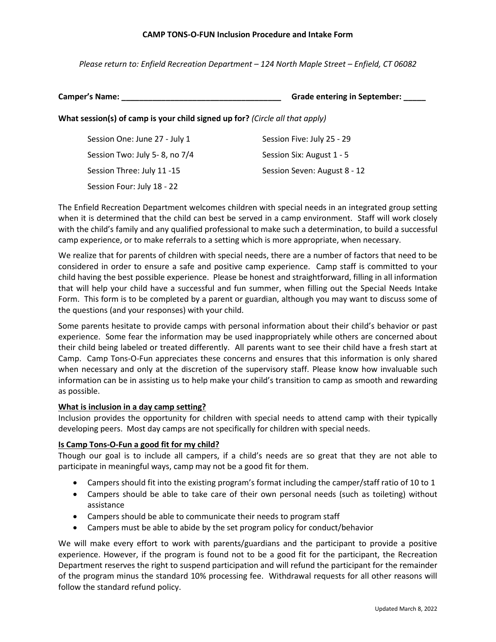### **CAMP TONS-O-FUN Inclusion Procedure and Intake Form**

*Please return to: Enfield Recreation Department – 124 North Maple Street – Enfield, CT 06082*

**Camper's Name: \_\_\_\_\_\_\_\_\_\_\_\_\_\_\_\_\_\_\_\_\_\_\_\_\_\_\_\_\_\_\_\_\_\_\_\_ Grade entering in September: \_\_\_\_\_**

**What session(s) of camp is your child signed up for?** *(Circle all that apply)*

| Session One: June 27 - July 1  | Session Five: July 25 - 29   |
|--------------------------------|------------------------------|
| Session Two: July 5- 8, no 7/4 | Session Six: August 1 - 5    |
| Session Three: July 11 -15     | Session Seven: August 8 - 12 |
| Session Four: July 18 - 22     |                              |

The Enfield Recreation Department welcomes children with special needs in an integrated group setting when it is determined that the child can best be served in a camp environment. Staff will work closely with the child's family and any qualified professional to make such a determination, to build a successful camp experience, or to make referrals to a setting which is more appropriate, when necessary.

We realize that for parents of children with special needs, there are a number of factors that need to be considered in order to ensure a safe and positive camp experience. Camp staff is committed to your child having the best possible experience. Please be honest and straightforward, filling in all information that will help your child have a successful and fun summer, when filling out the Special Needs Intake Form. This form is to be completed by a parent or guardian, although you may want to discuss some of the questions (and your responses) with your child.

Some parents hesitate to provide camps with personal information about their child's behavior or past experience. Some fear the information may be used inappropriately while others are concerned about their child being labeled or treated differently. All parents want to see their child have a fresh start at Camp. Camp Tons-O-Fun appreciates these concerns and ensures that this information is only shared when necessary and only at the discretion of the supervisory staff. Please know how invaluable such information can be in assisting us to help make your child's transition to camp as smooth and rewarding as possible.

# **What is inclusion in a day camp setting?**

Inclusion provides the opportunity for children with special needs to attend camp with their typically developing peers. Most day camps are not specifically for children with special needs.

# **Is Camp Tons-O-Fun a good fit for my child?**

Though our goal is to include all campers, if a child's needs are so great that they are not able to participate in meaningful ways, camp may not be a good fit for them.

- Campers should fit into the existing program's format including the camper/staff ratio of 10 to 1
- Campers should be able to take care of their own personal needs (such as toileting) without assistance
- Campers should be able to communicate their needs to program staff
- Campers must be able to abide by the set program policy for conduct/behavior

We will make every effort to work with parents/guardians and the participant to provide a positive experience. However, if the program is found not to be a good fit for the participant, the Recreation Department reserves the right to suspend participation and will refund the participant for the remainder of the program minus the standard 10% processing fee. Withdrawal requests for all other reasons will follow the standard refund policy.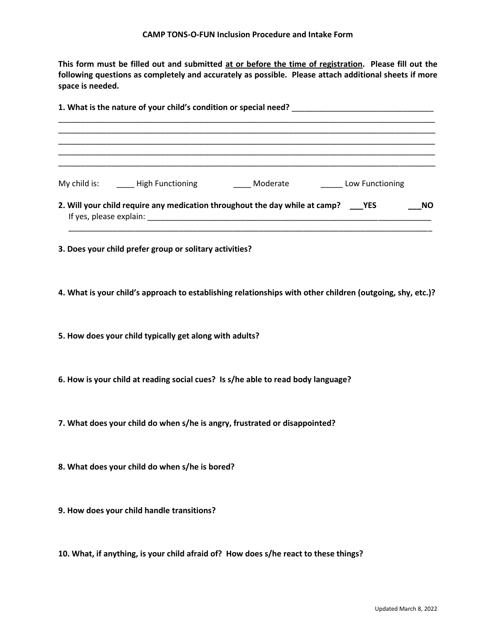**This form must be filled out and submitted at or before the time of registration. Please fill out the following questions as completely and accurately as possible. Please attach additional sheets if more space is needed.**

| <u> 1989 - Johann Stoff, amerikansk politiker (d. 1989)</u>                                               |  |  |  |  |
|-----------------------------------------------------------------------------------------------------------|--|--|--|--|
|                                                                                                           |  |  |  |  |
|                                                                                                           |  |  |  |  |
| 2. Will your child require any medication throughout the day while at camp? ___ YES<br>NO.                |  |  |  |  |
| 3. Does your child prefer group or solitary activities?                                                   |  |  |  |  |
| 4. What is your child's approach to establishing relationships with other children (outgoing, shy, etc.)? |  |  |  |  |
| 5. How does your child typically get along with adults?                                                   |  |  |  |  |
| 6. How is your child at reading social cues? Is s/he able to read body language?                          |  |  |  |  |
| 7. What does your child do when s/he is angry, frustrated or disappointed?                                |  |  |  |  |
| 8. What does your child do when s/he is bored?                                                            |  |  |  |  |
| 9. How does your child handle transitions?                                                                |  |  |  |  |
| 10. What, if anything, is your child afraid of? How does s/he react to these things?                      |  |  |  |  |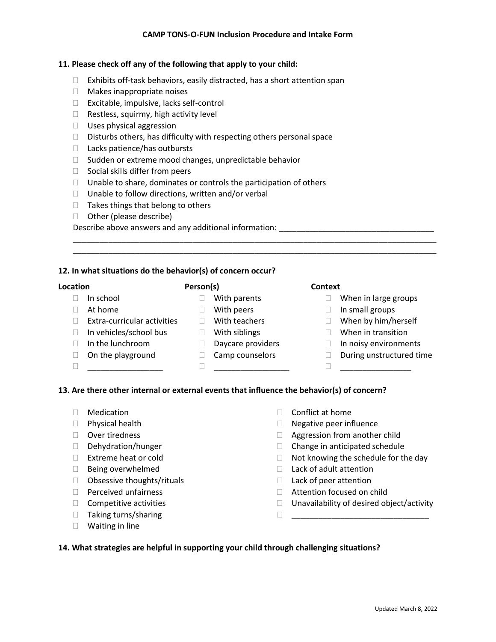# **CAMP TONS-O-FUN Inclusion Procedure and Intake Form**

### **11. Please check off any of the following that apply to your child:**

- $\Box$  Exhibits off-task behaviors, easily distracted, has a short attention span
- □ Makes inappropriate noises
- □ Excitable, impulsive, lacks self-control
- $\Box$  Restless, squirmy, high activity level
- $\Box$  Uses physical aggression
- $\Box$  Disturbs others, has difficulty with respecting others personal space
- $\Box$  Lacks patience/has outbursts
- $\Box$  Sudden or extreme mood changes, unpredictable behavior
- $\Box$  Social skills differ from peers
- $\Box$  Unable to share, dominates or controls the participation of others
- $\Box$  Unable to follow directions, written and/or verbal
- $\Box$  Takes things that belong to others
- $\Box$  Other (please describe)

Describe above answers and any additional information: \_\_\_\_\_\_\_\_\_\_\_\_\_\_\_\_\_\_\_\_\_\_\_\_\_

# **12. In what situations do the behavior(s) of concern occur?**

### **Location**

- $\Box$  In school
- At home
- **Person(s)**
	- **Nith parents**
	- □ With peers
- $\Box$  Extra-curricular activities  $\Box$  With teachers In vehicles/school bus
	-
- □ In the lunchroom
- 
- □ On the playground
- - □ When in large groups
	- $\Box$  In small groups
	- □ When by him/herself
	- □ When in transition
	- $\Box$  In noisy environments
	- During unstructured time

# **13. Are there other internal or external events that influence the behavior(s) of concern?**

- Medication
- $\Box$  Physical health
- Over tiredness
- Dehydration/hunger
- $\Box$  Extreme heat or cold
- $\Box$  Being overwhelmed
- $\Box$  Obsessive thoughts/rituals
- $\Box$  Perceived unfairness
- $\Box$  Competitive activities
- □ Taking turns/sharing
- Waiting in line
- $\Box$  Conflict at home
- $\Box$  Negative peer influence
- □ Aggression from another child

 $\Box$ 

- $\Box$  Change in anticipated schedule
- $\Box$  Not knowing the schedule for the day
- $\Box$  Lack of adult attention
- $\Box$  Lack of peer attention
- □ Attention focused on child
- $\Box$  Unavailability of desired object/activity

\_\_\_\_\_\_\_\_\_\_\_\_\_\_\_\_\_\_\_\_\_\_\_\_\_\_\_\_\_\_\_

**14. What strategies are helpful in supporting your child through challenging situations?**

- With siblings
	-

 $\Box$ 

 $\Box$ 

- Daycare providers
- **Camp counselors**
- **Context**

\_\_\_\_\_\_\_\_\_\_\_\_\_\_\_\_\_\_\_\_\_\_\_\_\_\_\_\_\_\_\_\_\_\_\_\_\_\_\_\_\_\_\_\_\_\_\_\_\_\_\_\_\_\_\_\_\_\_\_\_\_\_\_\_\_\_\_\_\_\_\_\_\_\_\_\_\_\_\_\_\_\_ \_\_\_\_\_\_\_\_\_\_\_\_\_\_\_\_\_\_\_\_\_\_\_\_\_\_\_\_\_\_\_\_\_\_\_\_\_\_\_\_\_\_\_\_\_\_\_\_\_\_\_\_\_\_\_\_\_\_\_\_\_\_\_\_\_\_\_\_\_\_\_\_\_\_\_\_\_\_\_\_\_\_

- 
-